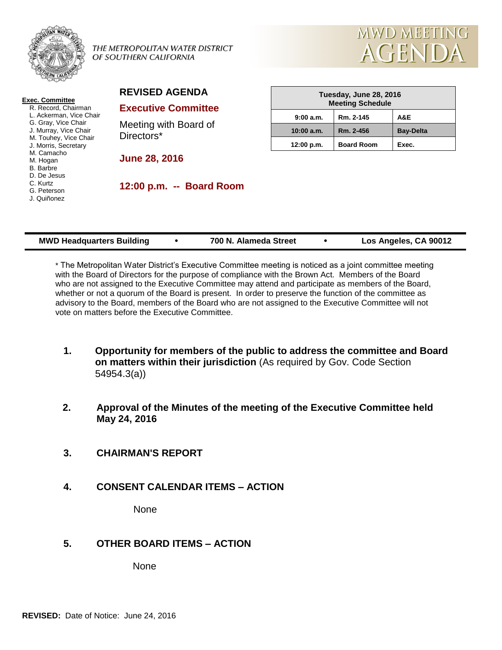

#### THE METROPOLITAN WATER DISTRICT OF SOUTHERN CALIFORNIA



#### **Exec. Committee** R. Record, Chairman L. Ackerman, Vice Chair

G. Gray, Vice Chair J. Murray, Vice Chair M. Touhey, Vice Chair J. Morris, Secretary M. Camacho M. Hogan B. Barbre D. De Jesus C. Kurtz

- G. Peterson
- J. Quiñonez

# **REVISED AGENDA**

#### **Executive Committee**

Meeting with Board of Directors\*

**June 28, 2016**

**12:00 p.m. -- Board Room**

| Tuesday, June 28, 2016<br><b>Meeting Schedule</b> |                   |                  |  |  |
|---------------------------------------------------|-------------------|------------------|--|--|
| 9:00 a.m.                                         | Rm. 2-145         | A&E              |  |  |
| 10:00 a.m.                                        | Rm. 2-456         | <b>Bay-Delta</b> |  |  |
| 12:00 p.m.                                        | <b>Board Room</b> | Exec.            |  |  |

| <b>MWD Headquarters Building</b> |  | 700 N. Alameda Street |  | Los Angeles, CA 90012 |
|----------------------------------|--|-----------------------|--|-----------------------|
|----------------------------------|--|-----------------------|--|-----------------------|

\* The Metropolitan Water District's Executive Committee meeting is noticed as a joint committee meeting with the Board of Directors for the purpose of compliance with the Brown Act. Members of the Board who are not assigned to the Executive Committee may attend and participate as members of the Board, whether or not a quorum of the Board is present. In order to preserve the function of the committee as advisory to the Board, members of the Board who are not assigned to the Executive Committee will not vote on matters before the Executive Committee.

- **1. Opportunity for members of the public to address the committee and Board on matters within their jurisdiction** (As required by Gov. Code Section 54954.3(a))
- **2. Approval of the Minutes of the meeting of the Executive Committee held May 24, 2016**
- **3. CHAIRMAN'S REPORT**
- **4. CONSENT CALENDAR ITEMS – ACTION**

**None** 

## **5. OTHER BOARD ITEMS – ACTION**

None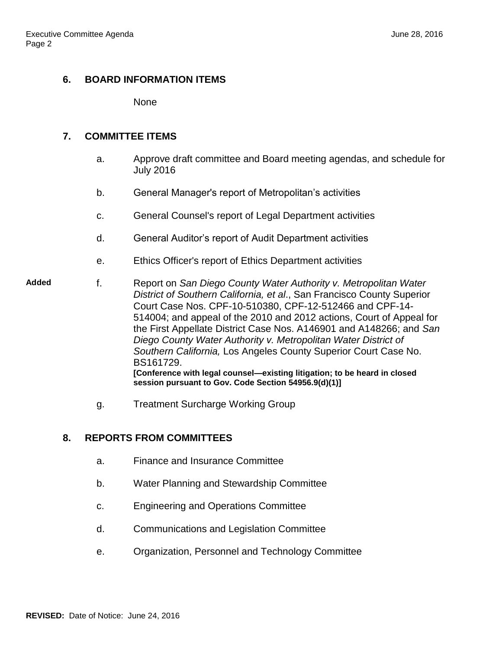#### **6. BOARD INFORMATION ITEMS**

None

#### **7. COMMITTEE ITEMS**

- a. Approve draft committee and Board meeting agendas, and schedule for July 2016
- b. General Manager's report of Metropolitan's activities
- c. General Counsel's report of Legal Department activities
- d. General Auditor's report of Audit Department activities
- e. Ethics Officer's report of Ethics Department activities

#### **Added** f. Report on *San Diego County Water Authority v. Metropolitan Water District of Southern California, et al*., San Francisco County Superior Court Case Nos. CPF-10-510380, CPF-12-512466 and CPF-14- 514004; and appeal of the 2010 and 2012 actions, Court of Appeal for the First Appellate District Case Nos. A146901 and A148266; and *San Diego County Water Authority v. Metropolitan Water District of Southern California,* Los Angeles County Superior Court Case No. BS161729. **[Conference with legal counsel—existing litigation; to be heard in closed session pursuant to Gov. Code Section 54956.9(d)(1)]**

g. Treatment Surcharge Working Group

## **8. REPORTS FROM COMMITTEES**

- a. Finance and Insurance Committee
- b. Water Planning and Stewardship Committee
- c. Engineering and Operations Committee
- d. Communications and Legislation Committee
- e. Organization, Personnel and Technology Committee